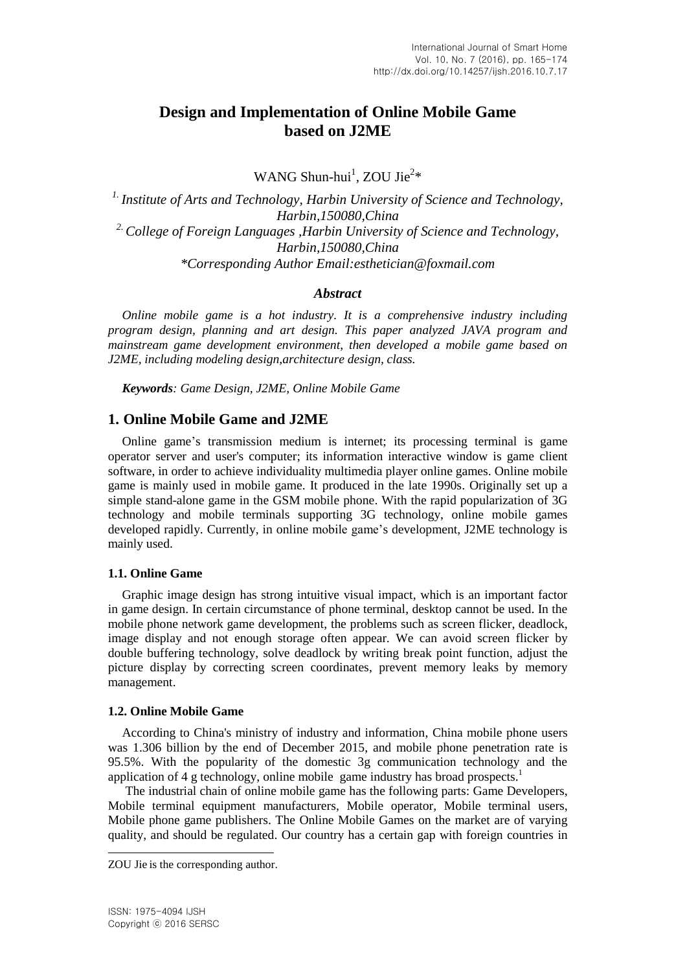# **Design and Implementation of Online Mobile Game based on J2ME**

WANG Shun-hui<sup>1</sup>, ZOU Jie<sup>2\*</sup>

*1. Institute of Arts and Technology, Harbin University of Science and Technology, Harbin,150080,China 2.College of Foreign Languages ,Harbin University of Science and Technology, Harbin,150080,China \*Corresponding Author Email[:esthetician@foxmail.com](mailto:Wangshunhui@yahoo.com)*

# *Abstract*

*Online mobile game is a hot industry. It is a comprehensive industry including program design, planning and art design. This paper analyzed JAVA program and mainstream game development environment, then developed a mobile game based on J2ME, including modeling design,architecture design, class.*

*Keywords: Game Design, J2ME, Online Mobile Game*

# **1. Online Mobile Game and J2ME**

Online game's transmission medium is internet; its processing terminal is game operator server and user's computer; its information interactive window is game client software, in order to achieve individuality multimedia player online games. Online mobile game is mainly used in mobile game. It produced in the late 1990s. Originally set up a simple stand-alone game in the GSM mobile phone. With the rapid popularization of 3G technology and mobile terminals supporting 3G technology, online mobile games developed rapidly. Currently, in online mobile game's development, J2ME technology is mainly used.

# **1.1. Online Game**

Graphic image design has strong intuitive visual impact, which is an important factor in game design. In certain circumstance of phone terminal, desktop cannot be used. In the mobile phone network game development, the problems such as screen flicker, deadlock, image display and not enough storage often appear. We can avoid screen flicker by double buffering technology, solve deadlock by writing break point function, adjust the picture display by correcting screen coordinates, prevent memory leaks by memory management.

# **1.2. Online Mobile Game**

According to China's ministry of industry and information, China mobile phone users was 1.306 billion by the end of December 2015, and mobile phone penetration rate is 95.5%. With the popularity of the domestic 3g communication technology and the application of 4 g technology, online mobile game industry has broad prospects.<sup>1</sup>

The industrial chain of online mobile game has the following parts: Game Developers, Mobile terminal equipment manufacturers, Mobile operator, Mobile terminal users, Mobile phone game publishers. The Online Mobile Games on the market are of varying quality, and should be regulated. Our country has a certain gap with foreign countries in

l

ZOU Jie is the corresponding author.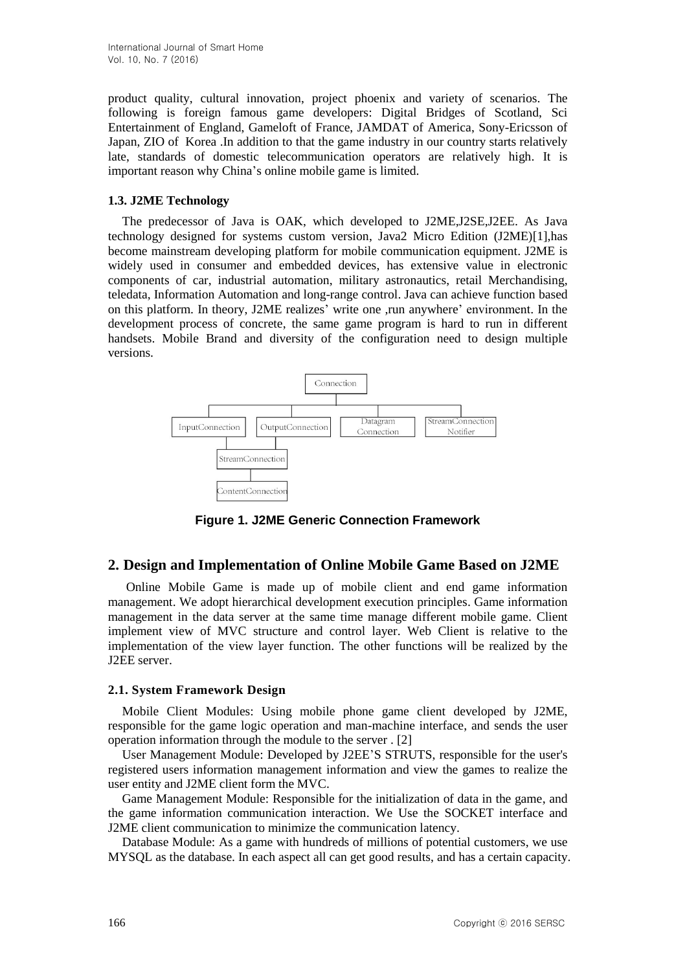product quality, cultural innovation, project phoenix and variety of scenarios. The following is foreign famous game developers: Digital Bridges of Scotland, Sci Entertainment of England, Gameloft of France, JAMDAT of America, Sony-Ericsson of Japan, ZIO of Korea .In addition to that the game industry in our country starts relatively late, standards of domestic telecommunication operators are relatively high. It is important reason why China's online mobile game is limited.

# **1.3. J2ME Technology**

The predecessor of Java is OAK, which developed to J2ME,J2SE,J2EE. As Java technology designed for systems custom version, Java2 Micro Edition (J2ME)[1],has become mainstream developing platform for mobile communication equipment. J2ME is widely used in consumer and embedded devices, has extensive value in electronic components of car, industrial automation, military astronautics, retail Merchandising, teledata, Information Automation and long-range control. Java can achieve function based on this platform. In theory, J2ME realizes' write one ,run anywhere' environment. In the development process of concrete, the same game program is hard to run in different handsets. Mobile Brand and diversity of the configuration need to design multiple versions.



**Figure 1. J2ME Generic Connection Framework**

# **2. Design and Implementation of Online Mobile Game Based on J2ME**

Online Mobile Game is made up of mobile client and end game information management. We adopt hierarchical development execution principles. Game information management in the data server at the same time manage different mobile game. Client implement view of MVC structure and control layer. Web Client is relative to the implementation of the view layer function. The other functions will be realized by the J2EE server.

# **2.1. System Framework Design**

Mobile Client Modules: Using mobile phone game client developed by J2ME, responsible for the game logic operation and man-machine interface, and sends the user operation information through the module to the server . [2]

User Management Module: Developed by J2EE'S STRUTS, responsible for the user's registered users information management information and view the games to realize the user entity and J2ME client form the MVC.

Game Management Module: Responsible for the initialization of data in the game, and the game information communication interaction. We Use the SOCKET interface and J2ME client communication to minimize the communication latency.

Database Module: As a game with hundreds of millions of potential customers, we use MYSQL as the database. In each aspect all can get good results, and has a certain capacity.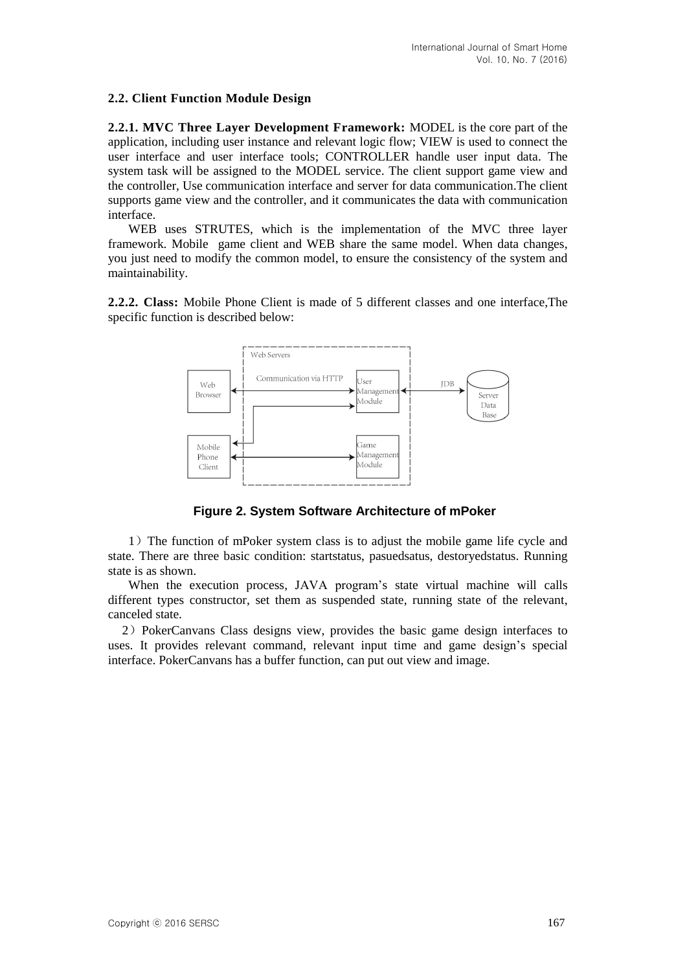# **2.2. Client Function Module Design**

**2.2.1. MVC Three Layer Development Framework:** MODEL is the core part of the application, including user instance and relevant logic flow; VIEW is used to connect the user interface and user interface tools; CONTROLLER handle user input data. The system task will be assigned to the MODEL service. The client support game view and the controller, Use communication interface and server for data communication.The client supports game view and the controller, and it communicates the data with communication interface.

 WEB uses STRUTES, which is the implementation of the MVC three layer framework. Mobile game client and WEB share the same model. When data changes, you just need to modify the common model, to ensure the consistency of the system and maintainability.

**2.2.2. Class:** Mobile Phone Client is made of 5 different classes and one interface,The specific function is described below:



**Figure 2. System Software Architecture of mPoker**

 1)The function of mPoker system class is to adjust the mobile game life cycle and state. There are three basic condition: startstatus, pasuedsatus, destoryedstatus. Running state is as shown.

 When the execution process, JAVA program's state virtual machine will calls different types constructor, set them as suspended state, running state of the relevant, canceled state.

2)PokerCanvans Class designs view, provides the basic game design interfaces to uses. It provides relevant command, relevant input time and game design's special interface. PokerCanvans has a buffer function, can put out view and image.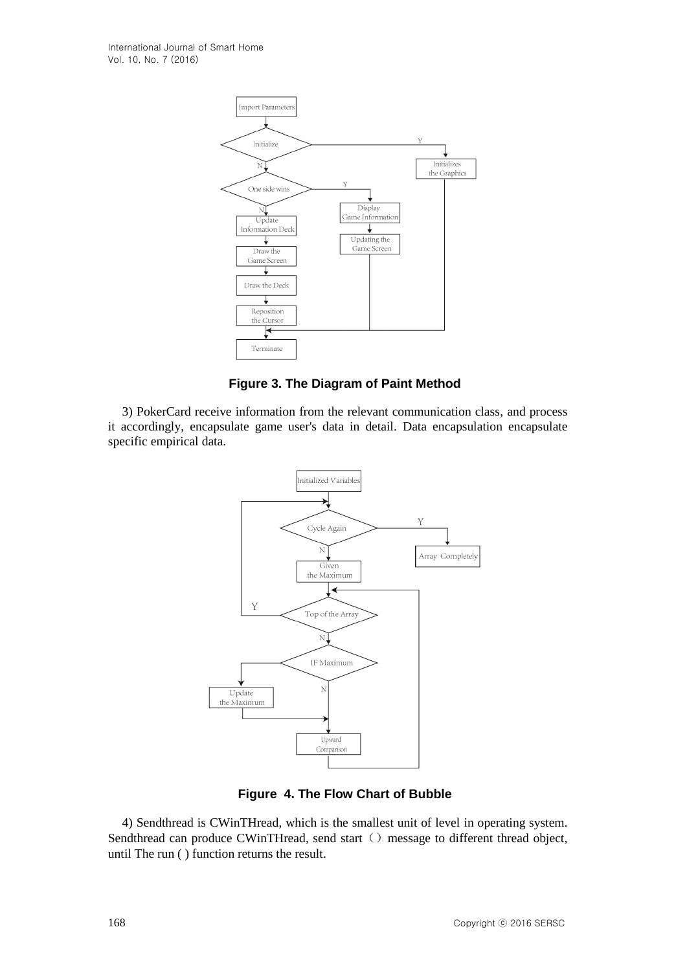

**Figure 3. The Diagram of Paint Method**

3) PokerCard receive information from the relevant communication class, and process it accordingly, encapsulate game user's data in detail. Data encapsulation encapsulate specific empirical data.



**Figure 4. The Flow Chart of Bubble**

4) Sendthread is CWinTHread, which is the smallest unit of level in operating system. Sendthread can produce CWinTHread, send start () message to different thread object, until The run ( ) function returns the result.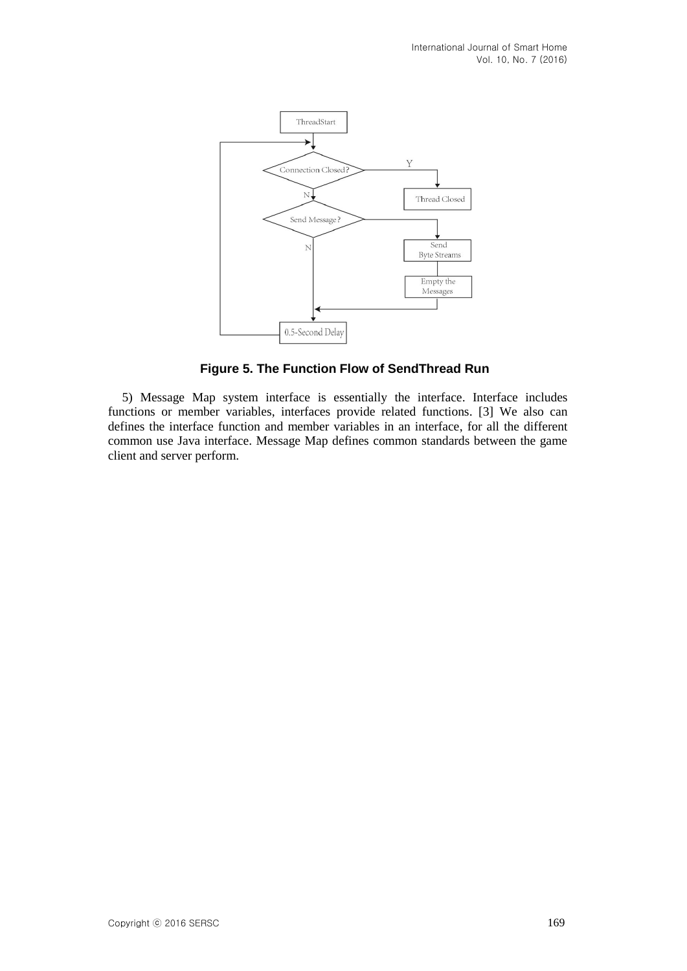

**Figure 5. The Function Flow of SendThread Run** 

5) Message Map system interface is essentially the interface. Interface includes functions or member variables, interfaces provide related functions. [3] We also can defines the interface function and member variables in an interface, for all the different common use Java interface. Message Map defines common standards between the game client and server perform.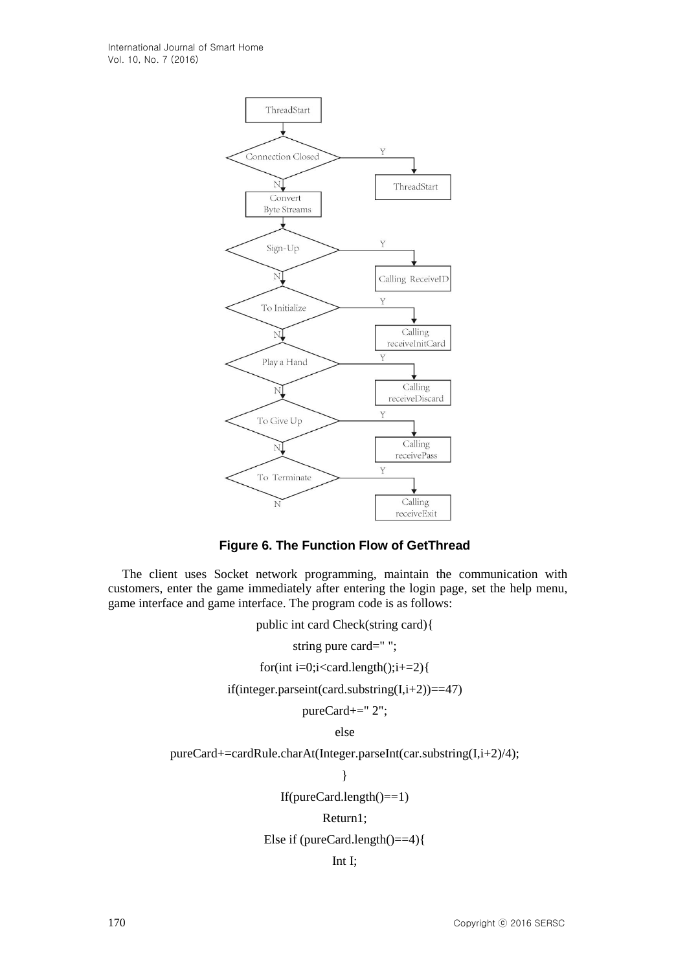

**Figure 6. The Function Flow of GetThread**

The client uses Socket network programming, maintain the communication with customers, enter the game immediately after entering the login page, set the help menu, game interface and game interface. The program code is as follows:

public int card Check(string card){

string pure card=" ";

for(int i=0;i<card.length();i+=2){

if(integer.parseint(card.substring(I,i+2))==47)

pureCard+=" 2";

else

pureCard+=cardRule.charAt(Integer.parseInt(car.substring(I,i+2)/4);

}

If(pureCard.length()==1)

#### Return1;

Else if (pureCard.length()==4){

Int I;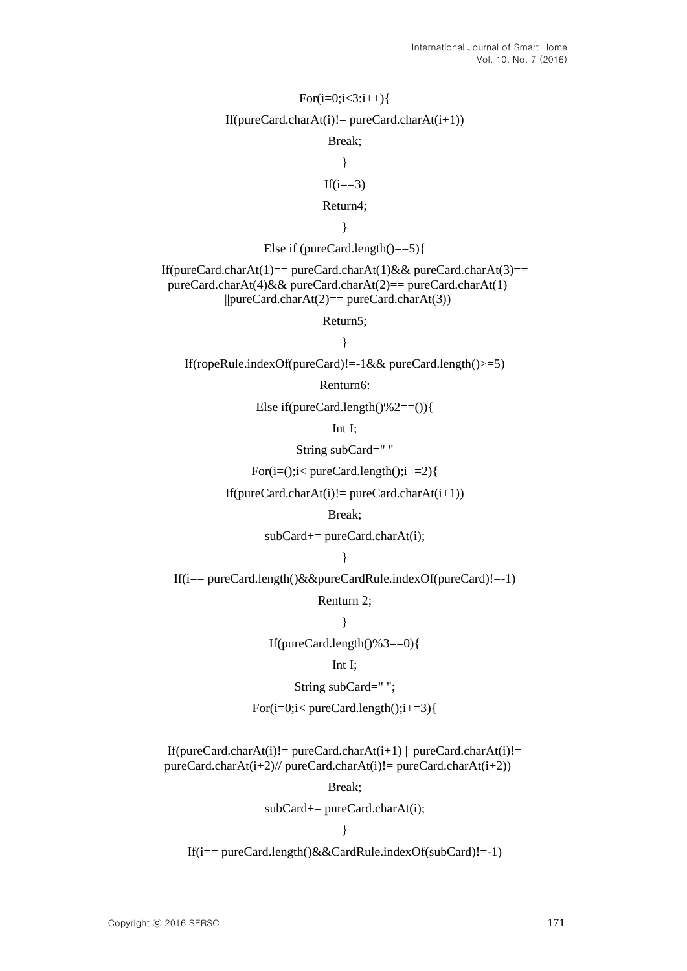# $For (i=0:i<3:i++)$ { If(pureCard.charAt(i)!= pureCard.charAt(i+1)) Break; } If( $i == 3$ ) Return4; } Else if (pureCard.length()==5){ If(pureCard.charAt(1)== pureCard.charAt(1)&& pureCard.charAt(3)== pureCard.charAt(4)&& pureCard.charAt(2)== pureCard.charAt(1)  $||pureCard.charAt(2)==pureCard.charAt(3))$ Return5; } If(ropeRule.indexOf(pureCard)!=-1&& pureCard.length()>=5) Renturn6: Else if(pureCard.length $($ )%2==()){ Int I; String subCard=" " For( $i=($ ); $i$  < pureCard.length(); $i+2$ } If(pureCard.charAt(i)!= pureCard.charAt(i+1)) Break;  $subCard+= pureCard.charAt(i);$

}

If(i== pureCard.length()&&pureCardRule.indexOf(pureCard)!=-1)

Renturn 2;

}

If(pureCard.length()%3==0){

#### Int I;

String subCard=" ";

For( $i=0$ ; $i$ < pureCard.length(); $i+1=3$ }{

If(pureCard.charAt(i)!= pureCard.charAt(i+1)  $\|$  pureCard.charAt(i)!=  $pureCard.charAt(i+2)//pureCard.charAt(i)! = pureCard.charAt(i+2))$ 

Break;

 $subCard+= pureCard.charAt(i);$ 

}

If(i== pureCard.length()&&CardRule.indexOf(subCard)!=-1)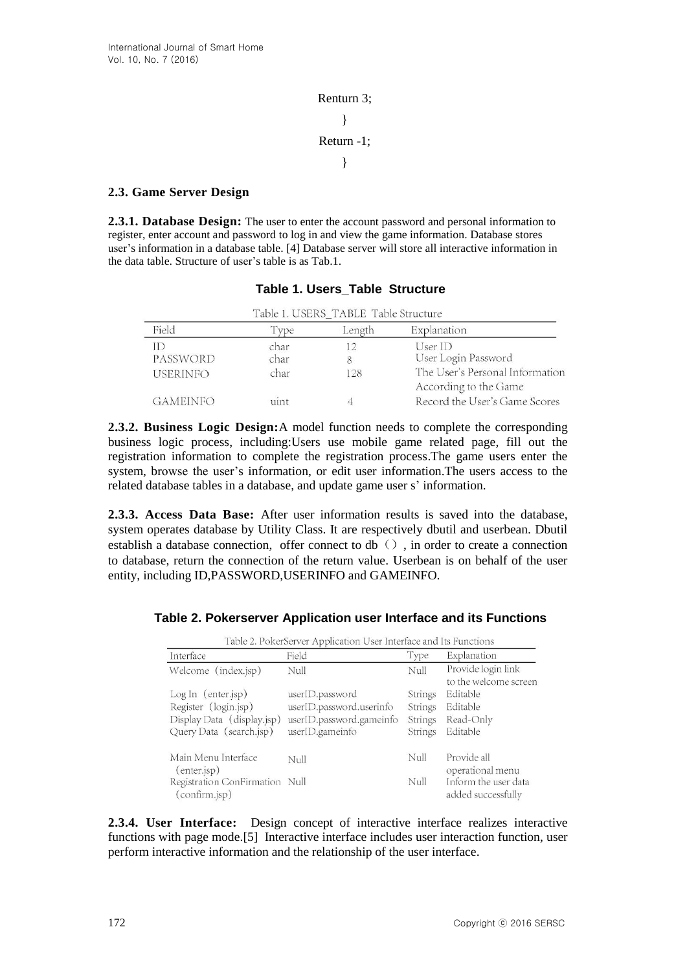Renturn 3; } Return -1; }

# **2.3. Game Server Design**

**2.3.1. Database Design:** The user to enter the account password and personal information to register, enter account and password to log in and view the game information. Database stores user's information in a database table. [4] Database server will store all interactive information in the data table. Structure of user's table is as Tab.1.

| Table 1. USERS_TABLE Table Structure |              |        |                                                          |  |
|--------------------------------------|--------------|--------|----------------------------------------------------------|--|
| Field                                | Type         | Length | Explanation                                              |  |
| ID<br>PASSWORD                       | char<br>char | 8      | UserID<br>User Login Password                            |  |
| <b>USERINFO</b>                      | char         | 128    | The User's Personal Information<br>According to the Game |  |
| <b>GAMEINFO</b>                      | uint         |        | Record the User's Game Scores                            |  |

# **Table 1. Users\_Table Structure**

**2.3.2. Business Logic Design:**A model function needs to complete the corresponding business logic process, including:Users use mobile game related page, fill out the registration information to complete the registration process.The game users enter the system, browse the user's information, or edit user information.The users access to the related database tables in a database, and update game user s' information.

**2.3.3. Access Data Base:** After user information results is saved into the database, system operates database by Utility Class. It are respectively dbutil and userbean. Dbutil establish a database connection, offer connect to db $\langle$ ), in order to create a connection to database, return the connection of the return value. Userbean is on behalf of the user entity, including ID,PASSWORD,USERINFO and GAMEINFO.

# **Table 2. Pokerserver Application user Interface and its Functions**

| Table 2. PokerServer Application User Interface and Its Functions |                          |         |                                             |  |  |
|-------------------------------------------------------------------|--------------------------|---------|---------------------------------------------|--|--|
| Interface                                                         | Field                    | Type    | Explanation                                 |  |  |
| Welcome (index.jsp)                                               | Null                     | Null    | Provide login link<br>to the welcome screen |  |  |
| Log In (enter.jsp)                                                | userID.password          | Strings | Editable                                    |  |  |
| Register (login.jsp)                                              | userID.password.userinfo | Strings | Editable                                    |  |  |
| Display Data (display.jsp)                                        | userID.password.gameinfo | Strings | Read-Only                                   |  |  |
| Query Data (search.jsp)                                           | userID.gameinfo          | Strings | Editable                                    |  |  |
| Main Menu Interface<br>$($ enter.jsp $)$                          | Null                     | Nul     | Provide all<br>operational menu             |  |  |
| Registration ConFirmation Null<br>(confirm.jsp)                   |                          | Null    | Inform the user data<br>added successfully  |  |  |

**2.3.4. User Interface:** Design concept of interactive interface realizes interactive functions with page mode.[5] Interactive interface includes user interaction function, user perform interactive information and the relationship of the user interface.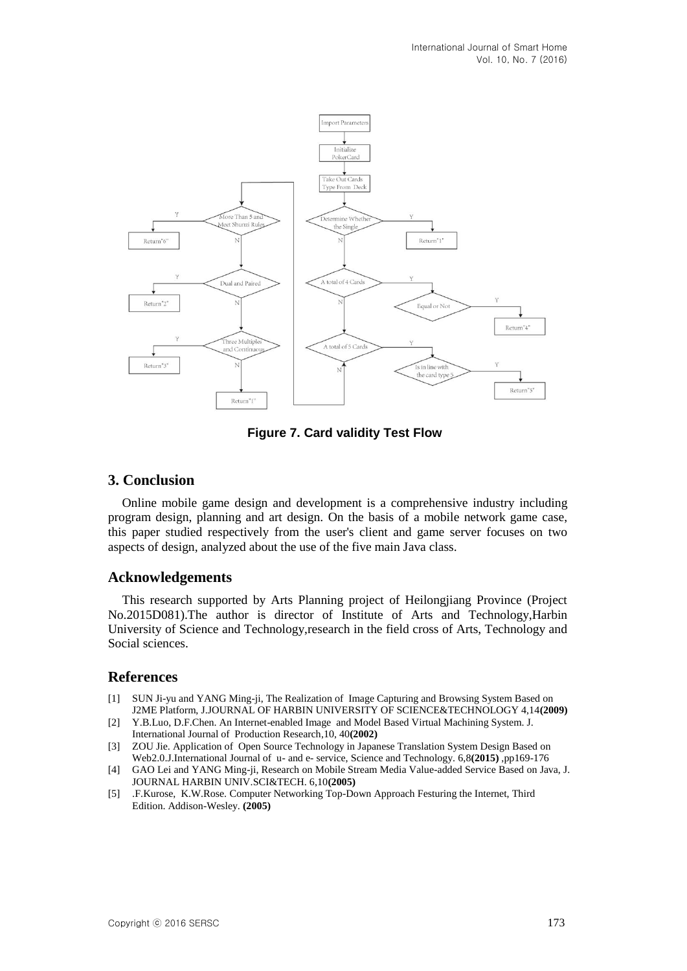

**Figure 7. Card validity Test Flow**

# **3. Conclusion**

Online mobile game design and development is a comprehensive industry including program design, planning and art design. On the basis of a mobile network game case, this paper studied respectively from the user's client and game server focuses on two aspects of design, analyzed about the use of the five main Java class.

# **Acknowledgements**

This research supported by Arts Planning project of Heilongjiang Province (Project No.2015D081).The author is director of Institute of Arts and Technology,Harbin University of Science and Technology,research in the field cross of Arts, Technology and Social sciences.

# **References**

- [1] SUN Ji-yu and YANG Ming-ji, The Realization of Image Capturing and Browsing System Based on J2ME Platform, J.JOURNAL OF HARBIN UNIVERSITY OF SCIENCE&TECHNOLOGY 4,14**(2009)**
- [2] Y.B.Luo, D.F.Chen. An Internet-enabled Image and Model Based Virtual Machining System. J. International Journal of Production Research,10, 40**(2002)**
- [3] ZOU Jie. Application of Open Source Technology in Japanese Translation System Design Based on Web2.0.J.International Journal of u- and e- service, Science and Technology. 6,8**(2015)** ,pp169-176
- [4] GAO Lei and YANG Ming-ji, Research on Mobile Stream Media Value-added Service Based on Java, J. JOURNAL HARBIN UNIV.SCI&TECH. 6,10**(2005)**
- [5] .F.Kurose, K.W.Rose. Computer Networking Top-Down Approach Festuring the Internet, Third Edition. Addison-Wesley. **(2005)**